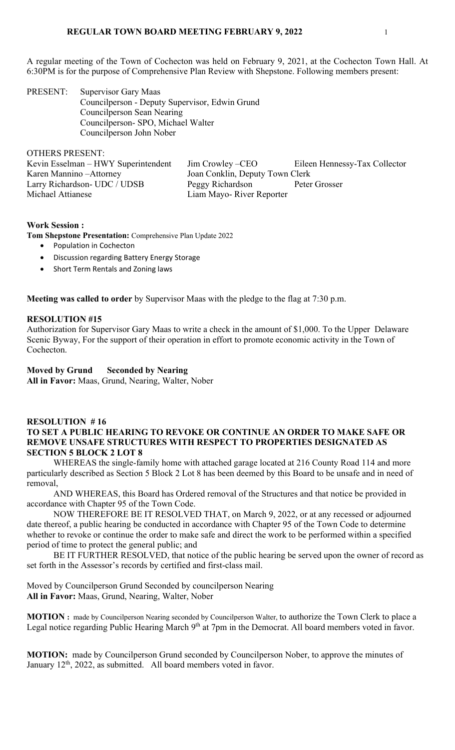A regular meeting of the Town of Cochecton was held on February 9, 2021, at the Cochecton Town Hall. At 6:30PM is for the purpose of Comprehensive Plan Review with Shepstone. Following members present:

PRESENT: Supervisor Gary Maas Councilperson - Deputy Supervisor, Edwin Grund Councilperson Sean Nearing Councilperson- SPO, Michael Walter Councilperson John Nober

OTHERS PRESENT:

| Kevin Esselman - HWY Superintendent | Jim Crowley – CEO               | Eileen Hennessy-Tax Collector |
|-------------------------------------|---------------------------------|-------------------------------|
| Karen Mannino – Attorney            | Joan Conklin, Deputy Town Clerk |                               |
| Larry Richardson- UDC / UDSB        | Peggy Richardson                | Peter Grosser                 |
| Michael Attianese                   | Liam Mayo-River Reporter        |                               |
|                                     |                                 |                               |

## **Work Session :**

**Tom Shepstone Presentation:** Comprehensive Plan Update 2022

- Population in Cochecton
- Discussion regarding Battery Energy Storage
- Short Term Rentals and Zoning laws

**Meeting was called to order** by Supervisor Maas with the pledge to the flag at 7:30 p.m.

## **RESOLUTION #15**

Authorization for Supervisor Gary Maas to write a check in the amount of \$1,000. To the Upper Delaware Scenic Byway, For the support of their operation in effort to promote economic activity in the Town of Cochecton.

## **Moved by Grund Seconded by Nearing**

**All in Favor:** Maas, Grund, Nearing, Walter, Nober

## **RESOLUTION # 16 TO SET A PUBLIC HEARING TO REVOKE OR CONTINUE AN ORDER TO MAKE SAFE OR REMOVE UNSAFE STRUCTURES WITH RESPECT TO PROPERTIES DESIGNATED AS SECTION 5 BLOCK 2 LOT 8**

WHEREAS the single-family home with attached garage located at 216 County Road 114 and more particularly described as Section 5 Block 2 Lot 8 has been deemed by this Board to be unsafe and in need of removal,

AND WHEREAS, this Board has Ordered removal of the Structures and that notice be provided in accordance with Chapter 95 of the Town Code.

NOW THEREFORE BE IT RESOLVED THAT, on March 9, 2022, or at any recessed or adjourned date thereof, a public hearing be conducted in accordance with Chapter 95 of the Town Code to determine whether to revoke or continue the order to make safe and direct the work to be performed within a specified period of time to protect the general public; and

BE IT FURTHER RESOLVED, that notice of the public hearing be served upon the owner of record as set forth in the Assessor's records by certified and first-class mail.

Moved by Councilperson Grund Seconded by councilperson Nearing **All in Favor:** Maas, Grund, Nearing, Walter, Nober

**MOTION :** made by Councilperson Nearing seconded by Councilperson Walter, to authorize the Town Clerk to place a Legal notice regarding Public Hearing March  $9<sup>th</sup>$  at 7pm in the Democrat. All board members voted in favor.

**MOTION:** made by Councilperson Grund seconded by Councilperson Nober, to approve the minutes of January 12<sup>th</sup>, 2022, as submitted. All board members voted in favor.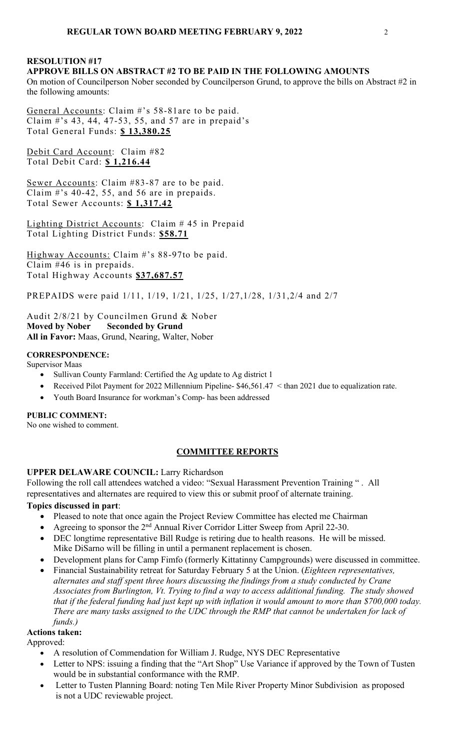## **RESOLUTION #17 APPROVE BILLS ON ABSTRACT #2 TO BE PAID IN THE FOLLOWING AMOUNTS**

On motion of Councilperson Nober seconded by Councilperson Grund, to approve the bills on Abstract #2 in the following amounts:

General Accounts: Claim #'s 58-81are to be paid. Claim #'s 43, 44, 47-53, 55, and 57 are in prepaid's Total General Funds: **\$ 13,380.25**

Debit Card Account: Claim #82 Total Debit Card: **\$ 1,216.44**

Sewer Accounts: Claim #83-87 are to be paid. Claim #'s 40-42, 55, and 56 are in prepaids. Total Sewer Accounts: **\$ 1,317.42** 

Lighting District Accounts: Claim # 45 in Prepaid Total Lighting District Funds: **\$58.71** 

Highway Accounts: Claim #'s 88-97to be paid. Claim #46 is in prepaids. Total Highway Accounts **\$37,687.57**

PREPAIDS were paid 1/11, 1/19, 1/21, 1/25, 1/27,1/28, 1/31,2/4 and 2/7

Audit 2/8/21 by Councilmen Grund & Nober **Moved by Nober Seconded by Grund All in Favor:** Maas, Grund, Nearing, Walter, Nober

## **CORRESPONDENCE:**

Supervisor Maas

- Sullivan County Farmland: Certified the Ag update to Ag district 1
- Received Pilot Payment for 2022 Millennium Pipeline- \$46,561.47 < than 2021 due to equalization rate.
- Youth Board Insurance for workman's Comp- has been addressed

**PUBLIC COMMENT:**

No one wished to comment.

# **COMMITTEE REPORTS**

# **UPPER DELAWARE COUNCIL:** Larry Richardson

Following the roll call attendees watched a video: "Sexual Harassment Prevention Training " . All representatives and alternates are required to view this or submit proof of alternate training.

# **Topics discussed in part**:

- Pleased to note that once again the Project Review Committee has elected me Chairman
- Agreeing to sponsor the 2<sup>nd</sup> Annual River Corridor Litter Sweep from April 22-30.
- DEC longtime representative Bill Rudge is retiring due to health reasons. He will be missed. Mike DiSarno will be filling in until a permanent replacement is chosen.
- Development plans for Camp Fimfo (formerly Kittatinny Campgrounds) were discussed in committee.
- Financial Sustainability retreat for Saturday February 5 at the Union. (*Eighteen representatives, alternates and staff spent three hours discussing the findings from a study conducted by Crane Associates from Burlington, Vt. Trying to find a way to access additional funding. The study showed that if the federal funding had just kept up with inflation it would amount to more than \$700,000 today. There are many tasks assigned to the UDC through the RMP that cannot be undertaken for lack of funds.)*

## **Actions taken:**

Approved:

- A resolution of Commendation for William J. Rudge, NYS DEC Representative
- Letter to NPS: issuing a finding that the "Art Shop" Use Variance if approved by the Town of Tusten would be in substantial conformance with the RMP.
- Letter to Tusten Planning Board: noting Ten Mile River Property Minor Subdivision as proposed is not a UDC reviewable project.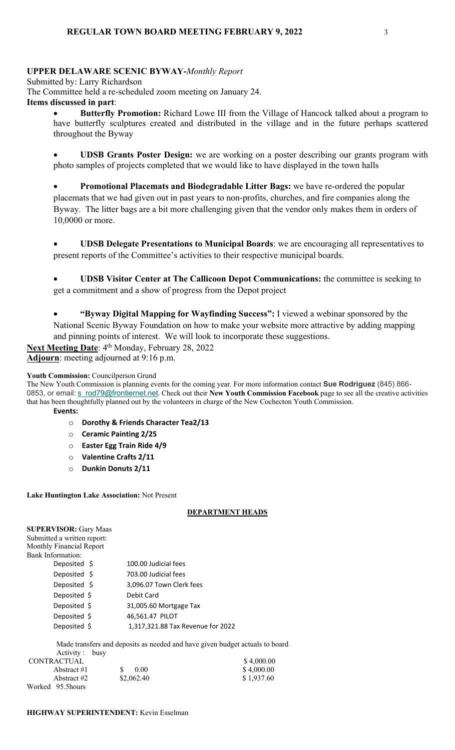# **UPPER DELAWARE SCENIC BYWAY-***Monthly Report*

Submitted by: Larry Richardson The Committee held a re-scheduled zoom meeting on January 24. **Items discussed in part**:

• **Butterfly Promotion:** Richard Lowe III from the Village of Hancock talked about a program to have butterfly sculptures created and distributed in the village and in the future perhaps scattered throughout the Byway

• **UDSB Grants Poster Design:** we are working on a poster describing our grants program with photo samples of projects completed that we would like to have displayed in the town halls

• **Promotional Placemats and Biodegradable Litter Bags:** we have re-ordered the popular placemats that we had given out in past years to non-profits, churches, and fire companies along the Byway. The litter bags are a bit more challenging given that the vendor only makes them in orders of 10,0000 or more.

• **UDSB Delegate Presentations to Municipal Boards**: we are encouraging all representatives to present reports of the Committee's activities to their respective municipal boards.

• **UDSB Visitor Center at The Callicoon Depot Communications:** the committee is seeking to get a commitment and a show of progress from the Depot project

• **"Byway Digital Mapping for Wayfinding Success":** I viewed a webinar sponsored by the National Scenic Byway Foundation on how to make your website more attractive by adding mapping and pinning points of interest. We will look to incorporate these suggestions.

Next Meeting Date: 4<sup>th</sup> Monday, February 28, 2022

**Adjourn**: meeting adjourned at 9:16 p.m.

## **Youth Commission:** Councilperson Grund

The New Youth Commission is planning events for the coming year. For more information contact **Sue Rodriguez** (845) 866- 0853, or email: s\_rod79@frontiernet.net. Check out their New Youth Commission Facebook page to see all the creative activities that has been thoughtfully planned out by the volunteers in charge of the New Cochecton Youth Commission. **Events:**

- o **Dorothy & Friends Character Tea2/13**
- o **Ceramic Painting 2/25**
- o **Easter Egg Train Ride 4/9**
- o **Valentine Crafts 2/11**
- o **Dunkin Donuts 2/11**

## **Lake Huntington Lake Association:** Not Present

## **DEPARTMENT HEADS**

| <b>SUPERVISOR: Gary Maas</b><br>Submitted a written report:<br><b>Monthly Financial Report</b> |                                   |
|------------------------------------------------------------------------------------------------|-----------------------------------|
| Bank Information:                                                                              |                                   |
| Deposited \$                                                                                   | 100.00 Judicial fees              |
| Deposited \$                                                                                   | 703.00 Judicial fees              |
| Deposited \$                                                                                   | 3,096.07 Town Clerk fees          |
| Deposited \$                                                                                   | Debit Card                        |
| Deposited \$                                                                                   | 31,005.60 Mortgage Tax            |
| Deposited \$                                                                                   | 46,561.47 PILOT                   |
| Deposited \$                                                                                   | 1,317,321.88 Tax Revenue for 2022 |
|                                                                                                |                                   |

 Made transfers and deposits as needed and have given budget actuals to board Activity : busy

| CONTRACTUAL       |            | \$4,000.00 |
|-------------------|------------|------------|
| Abstract $\#1$    | 0.00       | \$4,000.00 |
| Abstract #2       | \$2,062.40 | \$1,937.60 |
| Worked 95.5 hours |            |            |

## **HIGHWAY SUPERINTENDENT:** Kevin Esselman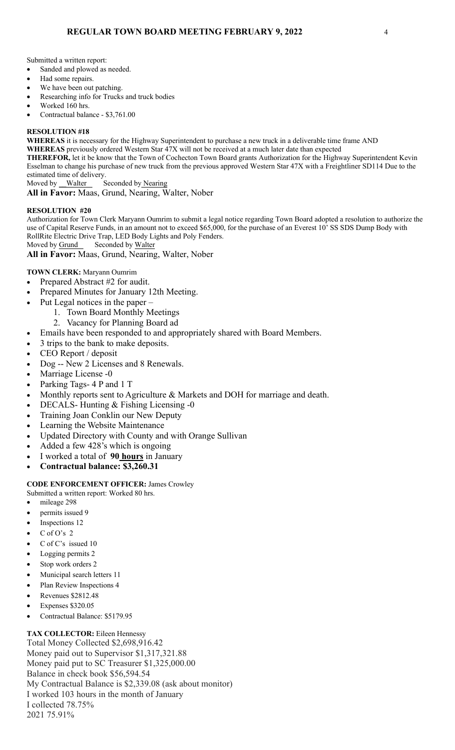Submitted a written report:

- Sanded and plowed as needed.
- Had some repairs.
- We have been out patching.
- Researching info for Trucks and truck bodies
- Worked 160 hrs.
- Contractual balance \$3,761.00

#### **RESOLUTION #18**

**WHEREAS** it is necessary for the Highway Superintendent to purchase a new truck in a deliverable time frame AND

**WHEREAS** previously ordered Western Star 47X will not be received at a much later date than expected

**THEREFOR,** let it be know that the Town of Cochecton Town Board grants Authorization for the Highway Superintendent Kevin Esselman to change his purchase of new truck from the previous approved Western Star 47X with a Freightliner SD114 Due to the estimated time of delivery.

Moved by Walter Seconded by Nearing

**All in Favor:** Maas, Grund, Nearing, Walter, Nober

#### **RESOLUTION #20**

Authorization for Town Clerk Maryann Oumrim to submit a legal notice regarding Town Board adopted a resolution to authorize the use of Capital Reserve Funds, in an amount not to exceed \$65,000, for the purchase of an Everest 10' SS SDS Dump Body with RollRite Electric Drive Trap, LED Body Lights and Poly Fenders.

Moved by Grund Seconded by Walter

**All in Favor:** Maas, Grund, Nearing, Walter, Nober

#### **TOWN CLERK:** Maryann Oumrim

- Prepared Abstract #2 for audit.
- Prepared Minutes for January 12th Meeting.
- Put Legal notices in the paper
	- 1. Town Board Monthly Meetings
		- 2. Vacancy for Planning Board ad
- Emails have been responded to and appropriately shared with Board Members.
- 3 trips to the bank to make deposits.
- CEO Report / deposit
- Dog -- New 2 Licenses and 8 Renewals.
- Marriage License -0
- Parking Tags- 4 P and 1 T
- Monthly reports sent to Agriculture & Markets and DOH for marriage and death.
- DECALS- Hunting & Fishing Licensing -0
- Training Joan Conklin our New Deputy
- Learning the Website Maintenance
- Updated Directory with County and with Orange Sullivan
- Added a few 428's which is ongoing
- I worked a total of **90 hours** in January
- **Contractual balance: \$3,260.31**

#### **CODE ENFORCEMENT OFFICER:** James Crowley

- Submitted a written report: Worked 80 hrs.
- mileage 298
- permits issued 9
- Inspections 12
- $C$  of O's 2
- C of C's issued 10
- Logging permits 2
- Stop work orders 2
- Municipal search letters 11
- Plan Review Inspections 4
- Revenues \$2812.48
- Expenses \$320.05
- Contractual Balance: \$5179.95

**TAX COLLECTOR:** Eileen Hennessy Total Money Collected \$2,698,916.42 Money paid out to Supervisor \$1,317,321.88 Money paid put to SC Treasurer \$1,325,000.00 Balance in check book \$56,594.54 My Contractual Balance is \$2,339.08 (ask about monitor) I worked 103 hours in the month of January I collected 78.75% 2021 75.91%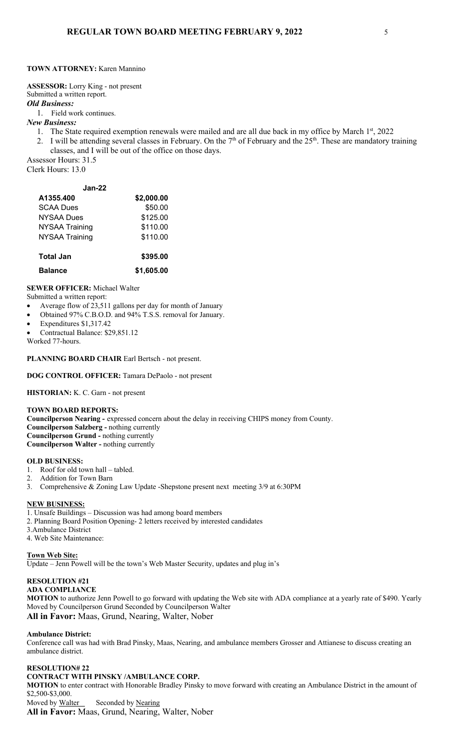#### **TOWN ATTORNEY:** Karen Mannino

**ASSESSOR:** Lorry King - not present Submitted a written report. *Old Business:*  1. Field work continues.

#### *New Business:*

- 1. The State required exemption renewals were mailed and are all due back in my office by March 1<sup>st</sup>, 2022
- 2. I will be attending several classes in February. On the  $7<sup>th</sup>$  of February and the  $25<sup>th</sup>$ . These are mandatory training classes, and I will be out of the office on those days.

Assessor Hours: 31.5 Clerk Hours: 13.0

| $Jan-22$              |            |
|-----------------------|------------|
| A1355.400             | \$2,000.00 |
| <b>SCAA Dues</b>      | \$50.00    |
| <b>NYSAA Dues</b>     | \$125.00   |
| <b>NYSAA Training</b> | \$110.00   |
| <b>NYSAA Training</b> | \$110.00   |
| <b>Total Jan</b>      | \$395.00   |
| <b>Balance</b>        | \$1,605.00 |

#### **SEWER OFFICER:** Michael Walter

Submitted a written report:

- Average flow of 23,511 gallons per day for month of January
- Obtained 97% C.B.O.D. and 94% T.S.S. removal for January.
- Expenditures \$1,317.42
- Contractual Balance: \$29,851.12
- Worked 77-hours.

**PLANNING BOARD CHAIR** Earl Bertsch - not present.

#### **DOG CONTROL OFFICER:** Tamara DePaolo - not present

**HISTORIAN:** K. C. Garn - not present

#### **TOWN BOARD REPORTS:**

**Councilperson Nearing -** expressed concern about the delay in receiving CHIPS money from County. **Councilperson Salzberg -** nothing currently **Councilperson Grund -** nothing currently **Councilperson Walter -** nothing currently

#### **OLD BUSINESS:**

- 1. Roof for old town hall tabled.
- 2. Addition for Town Barn
- 3. Comprehensive & Zoning Law Update -Shepstone present next meeting 3/9 at 6:30PM

#### **NEW BUSINESS:**

1. Unsafe Buildings – Discussion was had among board members

- 2. Planning Board Position Opening- 2 letters received by interested candidates
- 3.Ambulance District
- 4. Web Site Maintenance:

**Town Web Site:** 

Update – Jenn Powell will be the town's Web Master Security, updates and plug in's

## **RESOLUTION #21**

**ADA COMPLIANCE**

**MOTION** to authorize Jenn Powell to go forward with updating the Web site with ADA compliance at a yearly rate of \$490. Yearly Moved by Councilperson Grund Seconded by Councilperson Walter **All in Favor:** Maas, Grund, Nearing, Walter, Nober

#### **Ambulance District:**

Conference call was had with Brad Pinsky, Maas, Nearing, and ambulance members Grosser and Attianese to discuss creating an ambulance district.

#### **RESOLUTION# 22**

#### **CONTRACT WITH PINSKY /AMBULANCE CORP.**

**MOTION** to enter contract with Honorable Bradley Pinsky to move forward with creating an Ambulance District in the amount of \$2,500-\$3,000. Moved by Walter Seconded by Nearing

**All in Favor:** Maas, Grund, Nearing, Walter, Nober